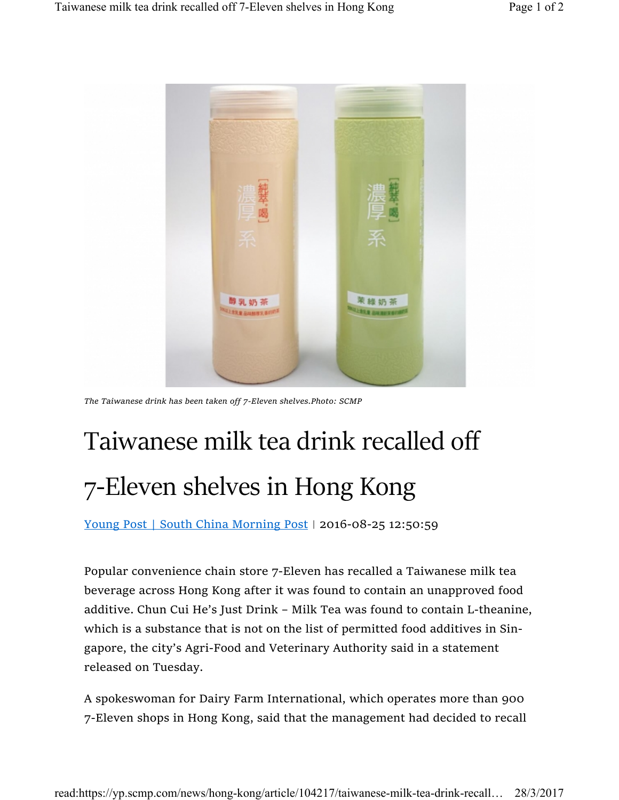

The Taiwanese drink has been taken off 7-Eleven shelves.Photo: SCMP

## Taiwanese milk tea drink recalled off 7-Eleven shelves in Hong Kong

Young Post | South China Morning Post | 2016-08-25 12:50:59

Popular convenience chain store 7-Eleven has recalled a Taiwanese milk tea beverage across Hong Kong after it was found to contain an unapproved food additive. Chun Cui He's Just Drink – Milk Tea was found to contain L-theanine, which is a substance that is not on the list of permitted food additives in Singapore, the city's Agri-Food and Veterinary Authority said in a statement released on Tuesday.

A spokeswoman for Dairy Farm International, which operates more than 900 7-Eleven shops in Hong Kong, said that the management had decided to recall